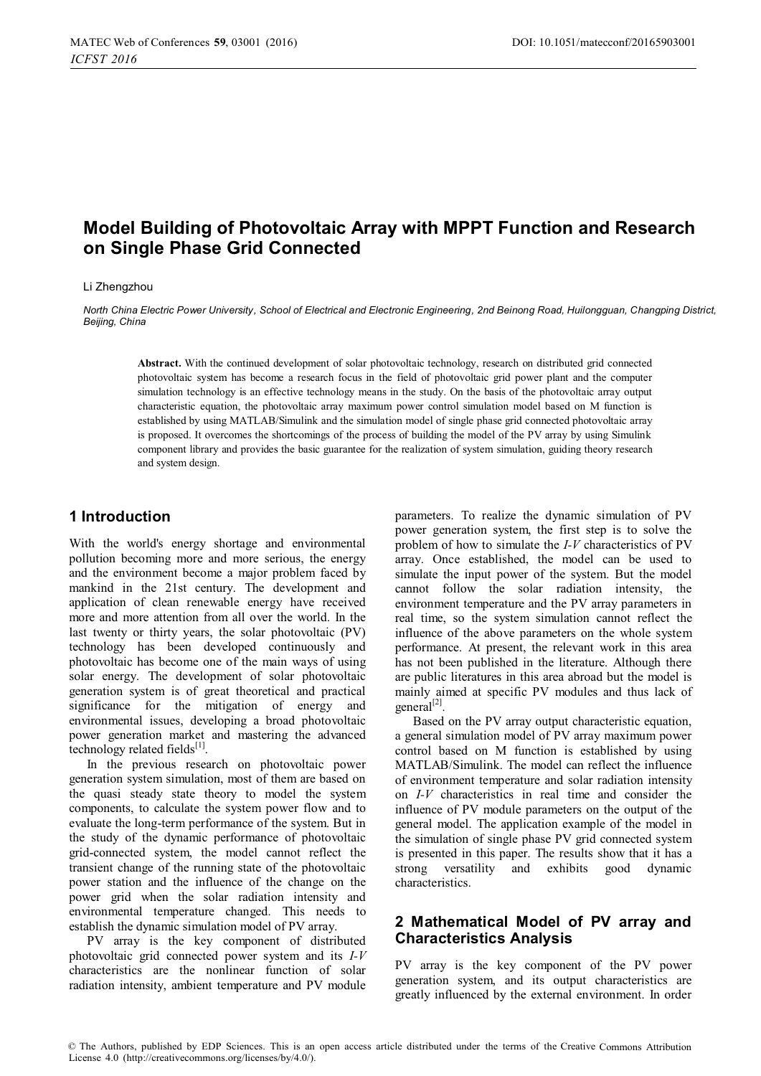# **Model Building of Photovoltaic Array with MPPT Function and Research on Single Phase Grid Connected**

#### Li Zhengzhou

*North China Electric Power University, School of Electrical and Electronic Engineering, 2nd Beinong Road, Huilongguan, Changping District, Beijing, China* 

**Abstract.** With the continued development of solar photovoltaic technology, research on distributed grid connected photovoltaic system has become a research focus in the field of photovoltaic grid power plant and the computer simulation technology is an effective technology means in the study. On the basis of the photovoltaic array output characteristic equation, the photovoltaic array maximum power control simulation model based on M function is established by using MATLAB/Simulink and the simulation model of single phase grid connected photovoltaic array is proposed. It overcomes the shortcomings of the process of building the model of the PV array by using Simulink component library and provides the basic guarantee for the realization of system simulation, guiding theory research and system design.

#### **1 Introduction**

With the world's energy shortage and environmental pollution becoming more and more serious, the energy and the environment become a major problem faced by mankind in the 21st century. The development and application of clean renewable energy have received more and more attention from all over the world. In the last twenty or thirty years, the solar photovoltaic (PV) technology has been developed continuously and photovoltaic has become one of the main ways of using solar energy. The development of solar photovoltaic generation system is of great theoretical and practical significance for the mitigation of energy and environmental issues, developing a broad photovoltaic power generation market and mastering the advanced technology related fields $[1]$ .

In the previous research on photovoltaic power generation system simulation, most of them are based on the quasi steady state theory to model the system components, to calculate the system power flow and to evaluate the long-term performance of the system. But in the study of the dynamic performance of photovoltaic grid-connected system, the model cannot reflect the transient change of the running state of the photovoltaic power station and the influence of the change on the power grid when the solar radiation intensity and environmental temperature changed. This needs to establish the dynamic simulation model of PV array.

PV array is the key component of distributed photovoltaic grid connected power system and its *I-V* characteristics are the nonlinear function of solar radiation intensity, ambient temperature and PV module

parameters. To realize the dynamic simulation of PV power generation system, the first step is to solve the problem of how to simulate the *I-V* characteristics of PV array. Once established, the model can be used to simulate the input power of the system. But the model cannot follow the solar radiation intensity, the environment temperature and the PV array parameters in real time, so the system simulation cannot reflect the influence of the above parameters on the whole system performance. At present, the relevant work in this area has not been published in the literature. Although there are public literatures in this area abroad but the model is mainly aimed at specific PV modules and thus lack of general $^{[2]}$ .

Based on the PV array output characteristic equation, a general simulation model of PV array maximum power control based on M function is established by using MATLAB/Simulink. The model can reflect the influence of environment temperature and solar radiation intensity on *I-V* characteristics in real time and consider the influence of PV module parameters on the output of the general model. The application example of the model in the simulation of single phase PV grid connected system is presented in this paper. The results show that it has a strong versatility and exhibits good dynamic characteristics.

### **2 Mathematical Model of PV array and Characteristics Analysis**

PV array is the key component of the PV power generation system, and its output characteristics are greatly influenced by the external environment. In order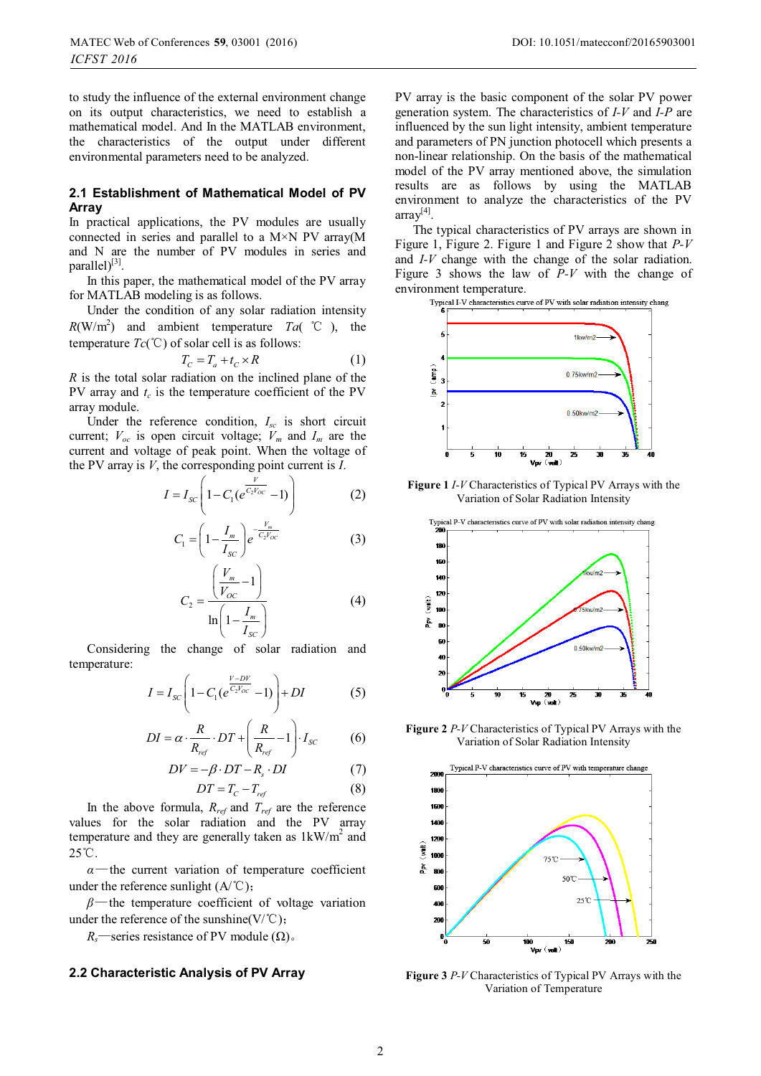to study the influence of the external environment change on its output characteristics, we need to establish a mathematical model. And In the MATLAB environment, the characteristics of the output under different environmental parameters need to be analyzed.

#### **2.1 Establishment of Mathematical Model of PV Array**

In practical applications, the PV modules are usually connected in series and parallel to a  $M \times N$  PV array(M) and N are the number of PV modules in series and parallel $[3]$ .

In this paper, the mathematical model of the PV array for MATLAB modeling is as follows.

Under the condition of any solar radiation intensity  $R(W/m<sup>2</sup>)$  and ambient temperature *Ta*( °C ), the temperature  $Tc({}^{\circ}\mathcal{C})$  of solar cell is as follows:

$$
T_C = T_a + t_C \times R \tag{1}
$$

*R* is the total solar radiation on the inclined plane of the PV array and  $t_c$  is the temperature coefficient of the PV array module.

Under the reference condition, *Isc* is short circuit current;  $V_{oc}$  is open circuit voltage;  $V_m$  and  $I_m$  are the current and voltage of peak point. When the voltage of the PV array is *V*, the corresponding point current is *I*.

$$
I = I_{sc} \left( 1 - C_1 (e^{\frac{V}{C_2 V_{oc}}}-1) \right)
$$
 (2)

$$
C_1 = \left(1 - \frac{I_m}{I_{SC}}\right) e^{-\frac{V_m}{C_2 V_{OC}}}
$$
 (3)

$$
C_2 = \frac{\left(\frac{V_m}{V_{OC}} - 1\right)}{\ln\left(1 - \frac{I_m}{I_{SC}}\right)}
$$
(4)

Considering the change of solar radiation and temperature:

$$
I = I_{sc} \left( 1 - C_1 (e^{\frac{V - DV}{C_2 V_{oc}}} - 1) \right) + DI \tag{5}
$$

$$
DI = \alpha \cdot \frac{R}{R_{ref}} \cdot DT + \left(\frac{R}{R_{ref}} - 1\right) \cdot I_{sc} \tag{6}
$$

$$
DV = -\beta \cdot DT - R_s \cdot DI \tag{7}
$$

$$
DT = T_C - T_{ref} \tag{8}
$$

In the above formula, *Rref* and *Tref* are the reference values for the solar radiation and the PV array temperature and they are generally taken as  $1 \text{kW/m}^2$  and  $25^{\circ}$ C.

 $\alpha$ —the current variation of temperature coefficient under the reference sunlight  $(A^{\circ}C)$ ;

 $\beta$ —the temperature coefficient of voltage variation under the reference of the sunshine( $V$ /°C);

*R<sub>s</sub>*—series resistance of PV module ( $\Omega$ ).

#### **2.2 Characteristic Analysis of PV Array**

PV array is the basic component of the solar PV power generation system. The characteristics of *I-V* and *I-P* are influenced by the sun light intensity, ambient temperature and parameters of PN junction photocell which presents a non-linear relationship. On the basis of the mathematical model of the PV array mentioned above, the simulation results are as follows by using the MATLAB environment to analyze the characteristics of the PV array<sup>[4]</sup>.

The typical characteristics of PV arrays are shown in Figure 1, Figure 2. Figure 1 and Figure 2 show that *P-V* and *I-V* change with the change of the solar radiation. Figure 3 shows the law of *P-V* with the change of en vironment temperature.<br>Typical I-V characteristics curve of PV with solar radiation intensity chang



**Figure 1** *I-V* Characteristics of Typical PV Arrays with the Variation of Solar Radiation Intensity



**Figure 2** *P-V* Characteristics of Typical PV Arrays with the Variation of Solar Radiation Intensity



**Figure 3** *P-V* Characteristics of Typical PV Arrays with the Variation of Temperature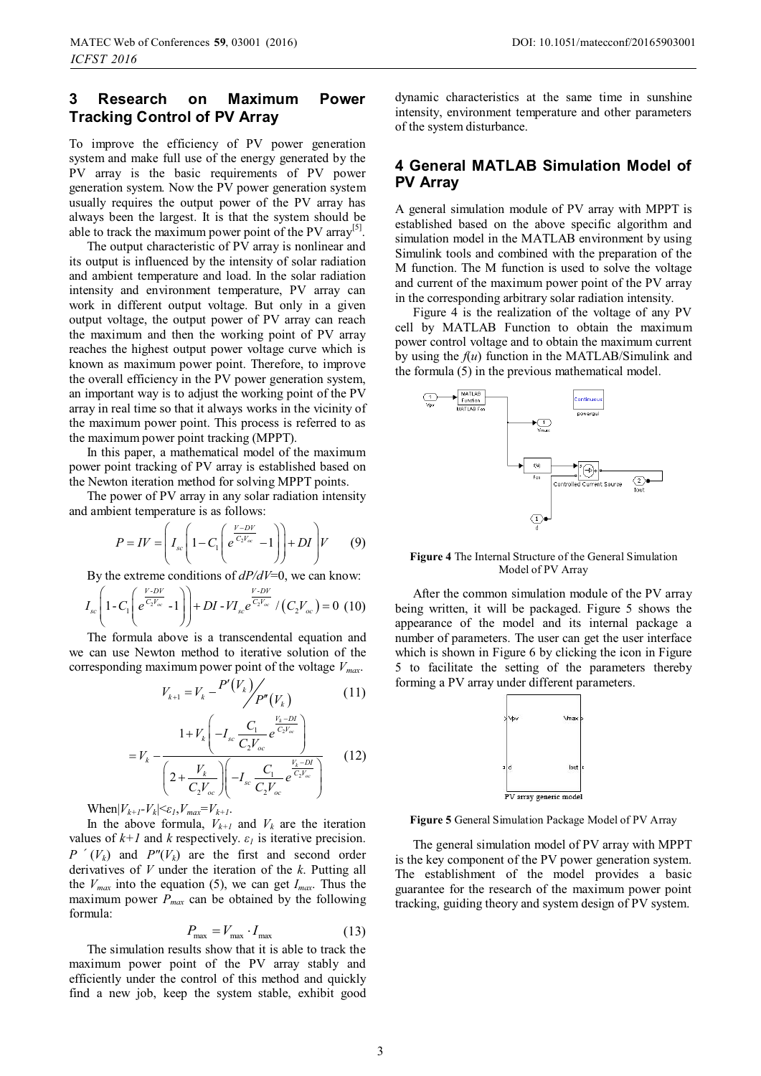### **3 Research on Maximum Power Tracking Control of PV Array**

To improve the efficiency of PV power generation system and make full use of the energy generated by the PV array is the basic requirements of PV power generation system. Now the PV power generation system usually requires the output power of the PV array has always been the largest. It is that the system should be able to track the maximum power point of the PV array<sup>[5]</sup>.

The output characteristic of PV array is nonlinear and its output is influenced by the intensity of solar radiation and ambient temperature and load. In the solar radiation intensity and environment temperature, PV array can work in different output voltage. But only in a given output voltage, the output power of PV array can reach the maximum and then the working point of PV array reaches the highest output power voltage curve which is known as maximum power point. Therefore, to improve the overall efficiency in the PV power generation system, an important way is to adjust the working point of the PV array in real time so that it always works in the vicinity of the maximum power point. This process is referred to as the maximum power point tracking (MPPT).

In this paper, a mathematical model of the maximum power point tracking of PV array is established based on the Newton iteration method for solving MPPT points.

The power of PV array in any solar radiation intensity and ambient temperature is as follows:

$$
P = IV = \left(I_{sc}\left(1 - C_1 \left(e^{\frac{V - DV}{C_2 V_{sc}}} - 1\right)\right) + DI\right)V\tag{9}
$$

By the extreme conditions of *dP/dV*=0, we can know:

$$
I_{sc}\left(1-C_{1}\left(e^{\frac{V\cdot DV}{C_{2}V_{oc}}}-1\right)\right)+DI-VI_{sc}e^{\frac{V\cdot DV}{C_{2}V_{oc}}}/\left(C_{2}V_{oc}\right)=0\ (10)
$$

The formula above is a transcendental equation and we can use Newton method to iterative solution of the corresponding maximum power point of the voltage *Vmax*.

$$
V_{k+1} = V_k - \frac{P'(V_k)}{P''(V_k)}
$$
 (11)

$$
=V_{k} - \frac{1+V_{k}\left(-I_{sc}\frac{C_{1}}{C_{2}V_{oc}}e^{\frac{V_{k}-DI}{C_{2}V_{oc}}}\right)}{\left(2+\frac{V_{k}}{C_{2}V_{oc}}\right)\left(-I_{sc}\frac{C_{1}}{C_{2}V_{oc}}e^{\frac{V_{k}-DI}{C_{2}V_{oc}}}\right)}
$$
(12)

When $|V_{k+1}-V_{k}| \leq \varepsilon_{1}, V_{max} = V_{k+1}.$ 

In the above formula,  $V_{k+1}$  and  $V_k$  are the iteration values of  $k+1$  and  $k$  respectively.  $\varepsilon_l$  is iterative precision.  $P'(V_k)$  and  $P''(V_k)$  are the first and second order derivatives of *V* under the iteration of the *k*. Putting all the  $V_{max}$  into the equation (5), we can get  $I_{max}$ . Thus the maximum power  $P_{max}$  can be obtained by the following formula:

$$
P_{\text{max}} = V_{\text{max}} \cdot I_{\text{max}} \tag{13}
$$

The simulation results show that it is able to track the maximum power point of the PV array stably and efficiently under the control of this method and quickly find a new job, keep the system stable, exhibit good

dynamic characteristics at the same time in sunshine intensity, environment temperature and other parameters of the system disturbance.

#### **4 General MATLAB Simulation Model of PV Array**

A general simulation module of PV array with MPPT is established based on the above specific algorithm and simulation model in the MATLAB environment by using Simulink tools and combined with the preparation of the M function. The M function is used to solve the voltage and current of the maximum power point of the PV array in the corresponding arbitrary solar radiation intensity.

Figure 4 is the realization of the voltage of any PV cell by MATLAB Function to obtain the maximum power control voltage and to obtain the maximum current by using the *f*(*u*) function in the MATLAB/Simulink and the formula (5) in the previous mathematical model.



**Figure 4** The Internal Structure of the General Simulation Model of PV Array

After the common simulation module of the PV array being written, it will be packaged. Figure 5 shows the appearance of the model and its internal package a number of parameters. The user can get the user interface which is shown in Figure 6 by clicking the icon in Figure 5 to facilitate the setting of the parameters thereby forming a PV array under different parameters.



**Figure 5** General Simulation Package Model of PV Array

The general simulation model of PV array with MPPT is the key component of the PV power generation system. The establishment of the model provides a basic guarantee for the research of the maximum power point tracking, guiding theory and system design of PV system.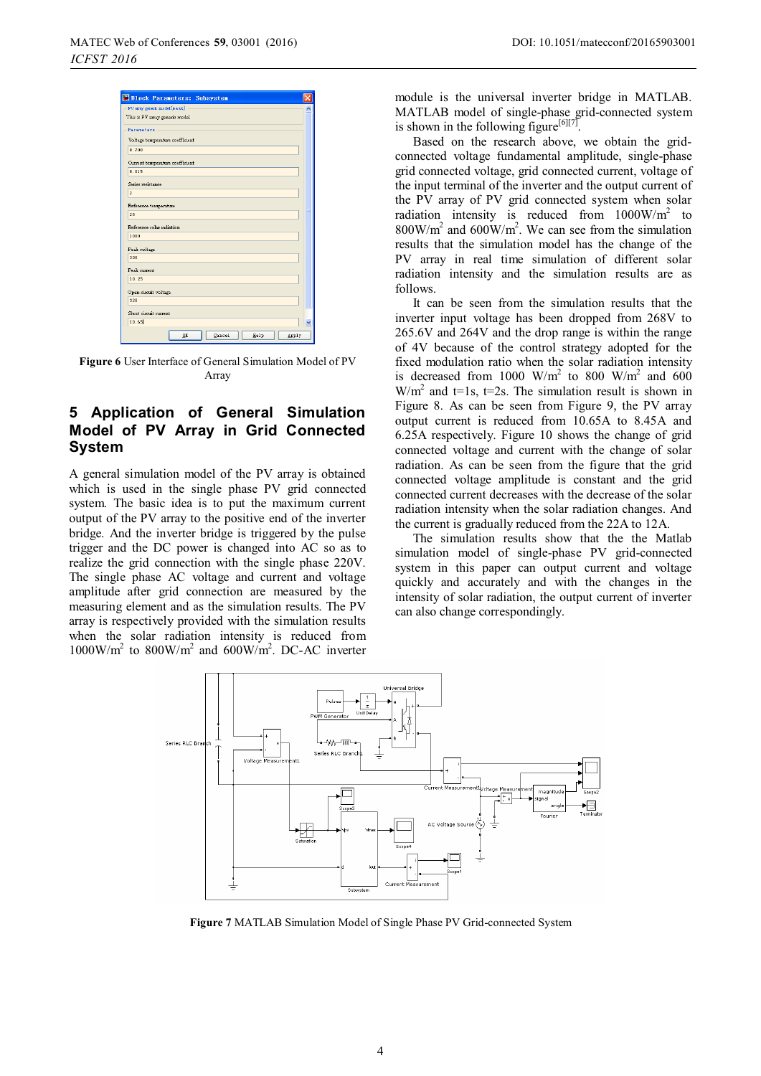|                       | Block Parameters: Subsystem     |        |      |       |
|-----------------------|---------------------------------|--------|------|-------|
|                       | PV array generic model (mask)   |        |      |       |
|                       | This is PV array generic model  |        |      |       |
| Parameters            |                                 |        |      |       |
|                       | Voltage temperature coefficient |        |      |       |
| 0.700                 |                                 |        |      |       |
|                       | Current temperature coefficient |        |      |       |
| 0.015                 |                                 |        |      |       |
| Series resistance     |                                 |        |      |       |
| $\overline{2}$        |                                 |        |      |       |
| Reference temperature |                                 |        |      |       |
| 28                    |                                 |        |      |       |
|                       | Reference solar radiation       |        |      |       |
| 1000                  |                                 |        |      |       |
| Peak voltage          |                                 |        |      |       |
| 300                   |                                 |        |      |       |
| Peak current          |                                 |        |      |       |
| 10.25                 |                                 |        |      |       |
| Open-circuit voltage  |                                 |        |      |       |
| 320                   |                                 |        |      |       |
| Short circuit current |                                 |        |      |       |
| 10.65                 |                                 |        |      |       |
|                       |                                 |        |      |       |
|                       | OK                              | Cancel | Help | Apply |

**Figure 6** User Interface of General Simulation Model of PV Array

## **5 Application of General Simulation Model of PV Array in Grid Connected System**

A general simulation model of the PV array is obtained which is used in the single phase PV grid connected system. The basic idea is to put the maximum current output of the PV array to the positive end of the inverter bridge. And the inverter bridge is triggered by the pulse trigger and the DC power is changed into AC so as to realize the grid connection with the single phase 220V. The single phase AC voltage and current and voltage amplitude after grid connection are measured by the measuring element and as the simulation results. The PV array is respectively provided with the simulation results when the solar radiation intensity is reduced from  $1000 \text{W/m}^2$  to  $800 \text{W/m}^2$  and  $600 \text{W/m}^2$ . DC-AC inverter module is the universal inverter bridge in MATLAB. MATLAB model of single-phase grid-connected system is shown in the following figure<sup>[6][7]</sup>.

Based on the research above, we obtain the gridconnected voltage fundamental amplitude, single-phase grid connected voltage, grid connected current, voltage of the input terminal of the inverter and the output current of the PV array of PV grid connected system when solar radiation intensity is reduced from  $1000 \text{W/m}^2$  to  $800 \text{W/m}^2$  and  $600 \text{W/m}^2$ . We can see from the simulation results that the simulation model has the change of the PV array in real time simulation of different solar radiation intensity and the simulation results are as follows.

It can be seen from the simulation results that the inverter input voltage has been dropped from 268V to 265.6V and 264V and the drop range is within the range of 4V because of the control strategy adopted for the fixed modulation ratio when the solar radiation intensity is decreased from 1000  $W/m^2$  to 800  $W/m^2$  and 600  $W/m<sup>2</sup>$  and t=1s, t=2s. The simulation result is shown in Figure 8. As can be seen from Figure 9, the PV array output current is reduced from 10.65A to 8.45A and 6.25A respectively. Figure 10 shows the change of grid connected voltage and current with the change of solar radiation. As can be seen from the figure that the grid connected voltage amplitude is constant and the grid connected current decreases with the decrease of the solar radiation intensity when the solar radiation changes. And the current is gradually reduced from the 22A to 12A.

The simulation results show that the the Matlab simulation model of single-phase PV grid-connected system in this paper can output current and voltage quickly and accurately and with the changes in the intensity of solar radiation, the output current of inverter can also change correspondingly.



**Figure 7** MATLAB Simulation Model of Single Phase PV Grid-connected System